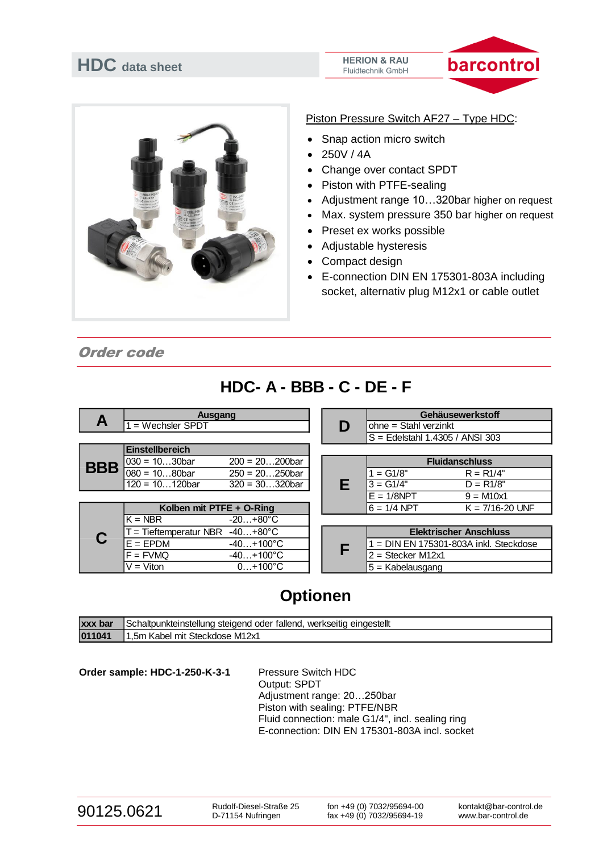# **HDC data sheet**

#### **HERION & RAU** Fluidtechnik GmbH





#### Piston Pressure Switch AF27 – Type HDC:

- Snap action micro switch
- 250V / 4A
- Change over contact SPDT
- Piston with PTFE-sealing
- Adjustment range 10…320bar higher on request
- Max. system pressure 350 bar higher on request
- Preset ex works possible
- Adjustable hysteresis
- Compact design
- E-connection DIN EN 175301-803A including socket, alternativ plug M12x1 or cable outlet

Order code

## **HDC- A - BBB - C - DE - F**

| $\mathbf{A}$ | Ausgang                  |                    |   |                                        |                                                              | Gehäusewerkstoff    |
|--------------|--------------------------|--------------------|---|----------------------------------------|--------------------------------------------------------------|---------------------|
|              | $1 =$ Wechsler SPDT      |                    |   | D                                      | $ohne = Stahl verzinkt$<br>$S =$ Edelstahl 1.4305 / ANSI 303 |                     |
|              | <b>Einstellbereich</b>   |                    |   |                                        |                                                              |                     |
| <b>BBB</b>   | $030 = 1030$ bar         | $200 = 20200$ bar  |   |                                        | <b>Fluidanschluss</b>                                        |                     |
|              | $080 = 1080$ bar         | $250 = 20250$ bar  | Е | $1 = G1/8"$                            | $R = R1/4"$                                                  |                     |
|              | $120 = 10120$ bar        | $320 = 30320$ bar  |   | $3 = G1/4"$                            | $D = R1/8"$                                                  |                     |
|              |                          |                    |   |                                        | $E = 1/8$ NPT                                                | $9 = M10x1$         |
|              | Kolben mit PTFE + O-Ring |                    |   |                                        | $6 = 1/4$ NPT                                                | $K = 7/16 - 20$ UNF |
|              | IK = NBR                 | $-20+80^{\circ}C$  |   |                                        |                                                              |                     |
|              | = Tieftemperatur NBR     | $-40+80^{\circ}C$  |   |                                        | <b>Elektrischer Anschluss</b>                                |                     |
|              | $E = EPDM$               | $-40+100^{\circ}C$ | F | $=$ DIN EN 175301-803A inkl. Steckdose |                                                              |                     |
|              | $F = FVMQ$               | $-40+100^{\circ}C$ |   | $2 = Stecker M12x1$                    |                                                              |                     |
|              | $V = Viton$              | $0+100^{\circ}C$   |   | $5 =$ Kabelausgang                     |                                                              |                     |

## **Optionen**

| <b>XXX</b><br><b>bar</b> | eingestellt<br>tallend.<br>Schaltounkteinstellung<br>werkseitig<br>steidend<br>oder |
|--------------------------|-------------------------------------------------------------------------------------|
| 011041                   | M12x1<br>Steckdose<br>.5m<br>mit<br>abe)                                            |

Order sample: HDC-1-250-K-3-1 Pressure Switch HDC Output: SPDT Adjustment range: 20…250bar Piston with sealing: PTFE/NBR Fluid connection: male G1/4", incl. sealing ring E-connection: DIN EN 175301-803A incl. socket